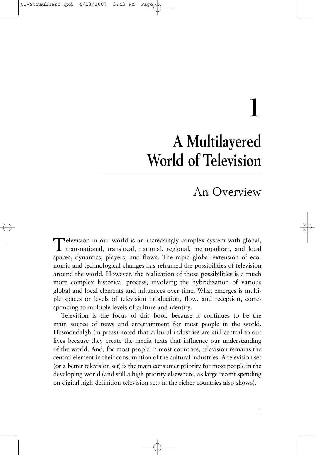## An Overview

Television in our world is an increasingly complex system with global, transnational, translocal, national, regional, metropolitan, and local spaces, dynamics, players, and flows. The rapid global extension of economic and technological changes has reframed the possibilities of television around the world. However, the realization of those possibilities is a much more complex historical process, involving the hybridization of various global and local elements and influences over time. What emerges is multiple spaces or levels of television production, flow, and reception, corresponding to multiple levels of culture and identity.

Television is the focus of this book because it continues to be the main source of news and entertainment for most people in the world. Hesmondalgh (in press) noted that cultural industries are still central to our lives because they create the media texts that influence our understanding of the world. And, for most people in most countries, television remains the central element in their consumption of the cultural industries. A television set (or a better television set) is the main consumer priority for most people in the developing world (and still a high priority elsewhere, as large recent spending on digital high-definition television sets in the richer countries also shows).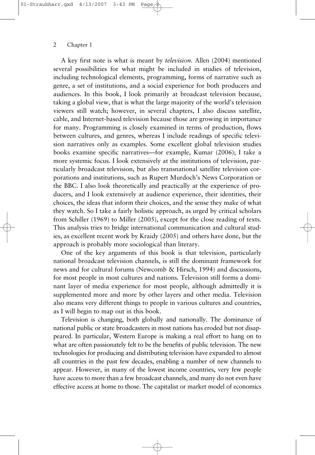A key first note is what is meant by *television.* Allen (2004) mentioned several possibilities for what might be included in studies of television, including technological elements, programming, forms of narrative such as genre, a set of institutions, and a social experience for both producers and audiences. In this book, I look primarily at broadcast television because, taking a global view, that is what the large majority of the world's television viewers still watch; however, in several chapters, I also discuss satellite, cable, and Internet-based television because those are growing in importance for many. Programming is closely examined in terms of production, flows between cultures, and genres, whereas I include readings of specific television narratives only as examples. Some excellent global television studies books examine specific narratives—for example, Kumar (2006); I take a more systemic focus. I look extensively at the institutions of television, particularly broadcast television, but also transnational satellite television corporations and institutions, such as Rupert Murdoch's News Corporation or the BBC. I also look theoretically and practically at the experience of producers, and I look extensively at audience experience, their identities, their choices, the ideas that inform their choices, and the sense they make of what they watch. So I take a fairly holistic approach, as urged by critical scholars from Schiller (1969) to Miller (2005), except for the close reading of texts. This analysis tries to bridge international communication and cultural studies, as excellent recent work by Kraidy (2005) and others have done, but the approach is probably more sociological than literary.

One of the key arguments of this book is that television, particularly national broadcast television channels, is still the dominant framework for news and for cultural forums (Newcomb & Hirsch, 1994) and discussions, for most people in most cultures and nations. Television still forms a dominant layer of media experience for most people, although admittedly it is supplemented more and more by other layers and other media. Television also means very different things to people in various cultures and countries, as I will begin to map out in this book.

Television is changing, both globally and nationally. The dominance of national public or state broadcasters in most nations has eroded but not disappeared. In particular, Western Europe is making a real effort to hang on to what are often passionately felt to be the benefits of public television. The new technologies for producing and distributing television have expanded to almost all countries in the past few decades, enabling a number of new channels to appear. However, in many of the lowest income countries, very few people have access to more than a few broadcast channels, and many do not even have effective access at home to those. The capitalist or market model of economics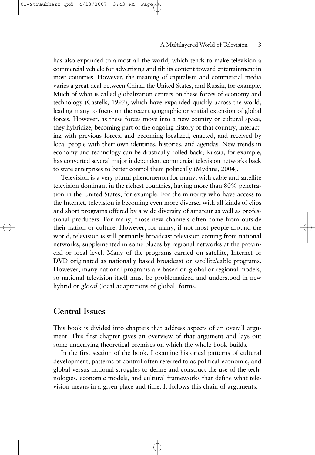has also expanded to almost all the world, which tends to make television a commercial vehicle for advertising and tilt its content toward entertainment in most countries. However, the meaning of capitalism and commercial media varies a great deal between China, the United States, and Russia, for example. Much of what is called globalization centers on these forces of economy and technology (Castells, 1997), which have expanded quickly across the world, leading many to focus on the recent geographic or spatial extension of global forces. However, as these forces move into a new country or cultural space, they hybridize, becoming part of the ongoing history of that country, interacting with previous forces, and becoming localized, enacted, and received by local people with their own identities, histories, and agendas. New trends in economy and technology can be drastically rolled back; Russia, for example, has converted several major independent commercial television networks back to state enterprises to better control them politically (Mydans, 2004).

Television is a very plural phenomenon for many, with cable and satellite television dominant in the richest countries, having more than 80% penetration in the United States, for example. For the minority who have access to the Internet, television is becoming even more diverse, with all kinds of clips and short programs offered by a wide diversity of amateur as well as professional producers. For many, those new channels often come from outside their nation or culture. However, for many, if not most people around the world, television is still primarily broadcast television coming from national networks, supplemented in some places by regional networks at the provincial or local level. Many of the programs carried on satellite, Internet or DVD originated as nationally based broadcast or satellite/cable programs. However, many national programs are based on global or regional models, so national television itself must be problematized and understood in new hybrid or *glocal* (local adaptations of global) forms.

## **Central Issues**

01-Straubharr.qxd 4/13/2007 3:43 PM Page 3

This book is divided into chapters that address aspects of an overall argument. This first chapter gives an overview of that argument and lays out some underlying theoretical premises on which the whole book builds.

In the first section of the book, I examine historical patterns of cultural development, patterns of control often referred to as political-economic, and global versus national struggles to define and construct the use of the technologies, economic models, and cultural frameworks that define what television means in a given place and time. It follows this chain of arguments.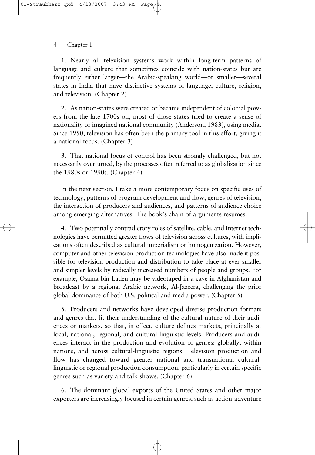1. Nearly all television systems work within long-term patterns of language and culture that sometimes coincide with nation-states but are frequently either larger—the Arabic-speaking world—or smaller—several states in India that have distinctive systems of language, culture, religion, and television. (Chapter 2)

2. As nation-states were created or became independent of colonial powers from the late 1700s on, most of those states tried to create a sense of nationality or imagined national community (Anderson, 1983), using media. Since 1950, television has often been the primary tool in this effort, giving it a national focus. (Chapter 3)

3. That national focus of control has been strongly challenged, but not necessarily overturned, by the processes often referred to as globalization since the 1980s or 1990s. (Chapter 4)

In the next section, I take a more contemporary focus on specific uses of technology, patterns of program development and flow, genres of television, the interaction of producers and audiences, and patterns of audience choice among emerging alternatives. The book's chain of arguments resumes:

4. Two potentially contradictory roles of satellite, cable, and Internet technologies have permitted greater flows of television across cultures, with implications often described as cultural imperialism or homogenization. However, computer and other television production technologies have also made it possible for television production and distribution to take place at ever smaller and simpler levels by radically increased numbers of people and groups. For example, Osama bin Laden may be videotaped in a cave in Afghanistan and broadcast by a regional Arabic network, Al-Jazeera, challenging the prior global dominance of both U.S. political and media power. (Chapter 5)

5. Producers and networks have developed diverse production formats and genres that fit their understanding of the cultural nature of their audiences or markets, so that, in effect, culture defines markets, principally at local, national, regional, and cultural linguistic levels. Producers and audiences interact in the production and evolution of genres: globally, within nations, and across cultural-linguistic regions. Television production and flow has changed toward greater national and transnational culturallinguistic or regional production consumption, particularly in certain specific genres such as variety and talk shows. (Chapter 6)

6. The dominant global exports of the United States and other major exporters are increasingly focused in certain genres, such as action-adventure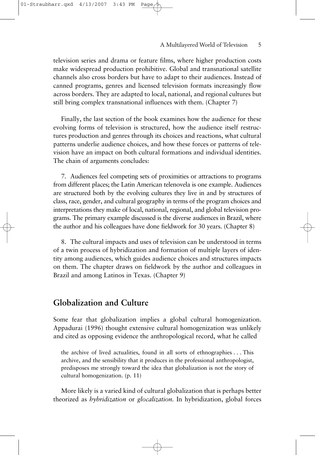television series and drama or feature films, where higher production costs make widespread production prohibitive. Global and transnational satellite channels also cross borders but have to adapt to their audiences. Instead of canned programs, genres and licensed television formats increasingly flow across borders. They are adapted to local, national, and regional cultures but still bring complex transnational influences with them. (Chapter 7)

Finally, the last section of the book examines how the audience for these evolving forms of television is structured, how the audience itself restructures production and genres through its choices and reactions, what cultural patterns underlie audience choices, and how these forces or patterns of television have an impact on both cultural formations and individual identities. The chain of arguments concludes:

7. Audiences feel competing sets of proximities or attractions to programs from different places; the Latin American telenovela is one example. Audiences are structured both by the evolving cultures they live in and by structures of class, race, gender, and cultural geography in terms of the program choices and interpretations they make of local, national, regional, and global television programs. The primary example discussed is the diverse audiences in Brazil, where the author and his colleagues have done fieldwork for 30 years. (Chapter 8)

8. The cultural impacts and uses of television can be understood in terms of a twin process of hybridization and formation of multiple layers of identity among audiences, which guides audience choices and structures impacts on them. The chapter draws on fieldwork by the author and colleagues in Brazil and among Latinos in Texas. (Chapter 9)

## **Globalization and Culture**

01-Straubharr.qxd 4/13/2007

Some fear that globalization implies a global cultural homogenization. Appadurai (1996) thought extensive cultural homogenization was unlikely and cited as opposing evidence the anthropological record, what he called

the archive of lived actualities, found in all sorts of ethnographies . . . This archive, and the sensibility that it produces in the professional anthropologist, predisposes me strongly toward the idea that globalization is not the story of cultural homogenization. (p. 11)

More likely is a varied kind of cultural globalization that is perhaps better theorized as *hybridization* or *glocalization.* In hybridization, global forces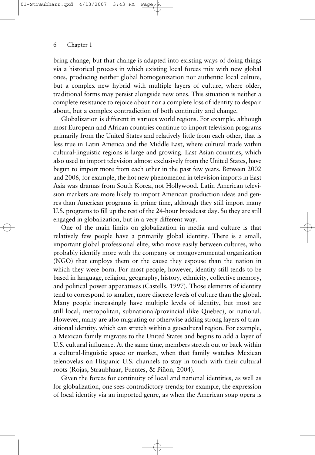bring change, but that change is adapted into existing ways of doing things via a historical process in which existing local forces mix with new global ones, producing neither global homogenization nor authentic local culture, but a complex new hybrid with multiple layers of culture, where older, traditional forms may persist alongside new ones. This situation is neither a complete resistance to rejoice about nor a complete loss of identity to despair about, but a complex contradiction of both continuity and change.

Globalization is different in various world regions. For example, although most European and African countries continue to import television programs primarily from the United States and relatively little from each other, that is less true in Latin America and the Middle East, where cultural trade within cultural-linguistic regions is large and growing. East Asian countries, which also used to import television almost exclusively from the United States, have begun to import more from each other in the past few years. Between 2002 and 2006, for example, the hot new phenomenon in television imports in East Asia was dramas from South Korea, not Hollywood. Latin American television markets are more likely to import American production ideas and genres than American programs in prime time, although they still import many U.S. programs to fill up the rest of the 24-hour broadcast day. So they are still engaged in globalization, but in a very different way.

One of the main limits on globalization in media and culture is that relatively few people have a primarily global identity. There is a small, important global professional elite, who move easily between cultures, who probably identify more with the company or nongovernmental organization (NGO) that employs them or the cause they espouse than the nation in which they were born. For most people, however, identity still tends to be based in language, religion, geography, history, ethnicity, collective memory, and political power apparatuses (Castells, 1997). Those elements of identity tend to correspond to smaller, more discrete levels of culture than the global. Many people increasingly have multiple levels of identity, but most are still local, metropolitan, subnational/provincial (like Quebec), or national. However, many are also migrating or otherwise adding strong layers of transitional identity, which can stretch within a geocultural region. For example, a Mexican family migrates to the United States and begins to add a layer of U.S. cultural influence. At the same time, members stretch out or back within a cultural-linguistic space or market, when that family watches Mexican telenovelas on Hispanic U.S. channels to stay in touch with their cultural roots (Rojas, Straubhaar, Fuentes, & Piñon*,* 2004).

Given the forces for continuity of local and national identities, as well as for globalization, one sees contradictory trends; for example, the expression of local identity via an imported genre, as when the American soap opera is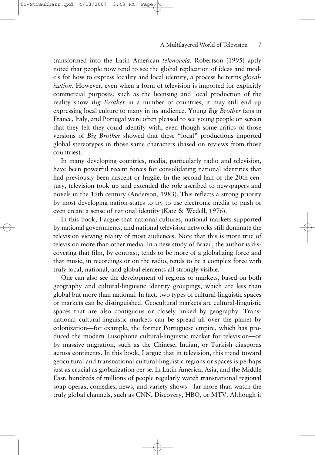transformed into the Latin American *telenovela.* Robertson (1995) aptly noted that people now tend to see the global replication of ideas and models for how to express locality and local identity, a process he terms *glocalization.* However, even when a form of television is imported for explicitly commercial purposes, such as the licensing and local production of the reality show *Big Brother* in a number of countries, it may still end up expressing local culture to many in its audience. Young *Big Brother* fans in France, Italy, and Portugal were often pleased to see young people on screen that they felt they could identify with, even though some critics of those versions of *Big Brother* showed that these "local" productions imported global stereotypes in those same characters (based on reviews from those countries).

01-Straubharr.qxd 4/13/2007 3:43 PM Page

In many developing countries, media, particularly radio and television, have been powerful recent forces for consolidating national identities that had previously been nascent or fragile. In the second half of the 20th century, television took up and extended the role ascribed to newspapers and novels in the 19th century (Anderson, 1983). This reflects a strong priority by most developing nation-states to try to use electronic media to push or even create a sense of national identity (Katz & Wedell, 1976).

In this book, I argue that national cultures, national markets supported by national governments, and national television networks still dominate the television viewing reality of most audiences. Note that this is more true of television more than other media. In a new study of Brazil, the author is discovering that film, by contrast, tends to be more of a globalizing force and that music, in recordings or on the radio, tends to be a complex force with truly local, national, and global elements all strongly visible.

One can also see the development of regions or markets, based on both geography and cultural-linguistic identity groupings, which are less than global but more than national. In fact, two types of cultural-linguistic spaces or markets can be distinguished. Geocultural markets are cultural-linguistic spaces that are also contiguous or closely linked by geography. Transnational cultural-linguistic markets can be spread all over the planet by colonization—for example, the former Portuguese empire, which has produced the modern Lusophone cultural-linguistic market for television—or by massive migration, such as the Chinese, Indian, or Turkish diasporas across continents. In this book, I argue that in television, this trend toward geocultural and transnational cultural-linguistic regions or spaces is perhaps just as crucial as globalization per se. In Latin America, Asia, and the Middle East, hundreds of millions of people regularly watch transnational regional soap operas, comedies, news, and variety shows—far more than watch the truly global channels, such as CNN, Discovery, HBO, or MTV. Although it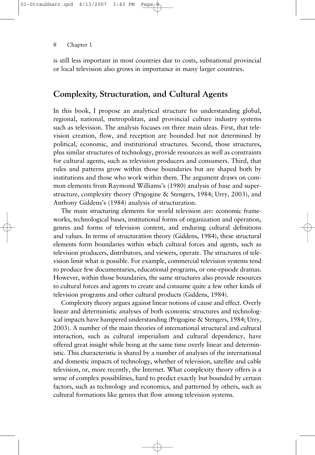is still less important in most countries due to costs, subnational provincial or local television also grows in importance in many larger countries.

## **Complexity, Structuration, and Cultural Agents**

In this book, I propose an analytical structure for understanding global, regional, national, metropolitan, and provincial culture industry systems such as television. The analysis focuses on three main ideas. First, that television creation, flow, and reception are bounded but not determined by political, economic, and institutional structures. Second, those structures, plus similar structures of technology, provide resources as well as constraints for cultural agents, such as television producers and consumers. Third, that rules and patterns grow within those boundaries but are shaped both by institutions and those who work within them. The argument draws on common elements from Raymond Williams's (1980) analysis of base and superstructure, complexity theory (Prigogine & Stengers, 1984; Urry, 2003), and Anthony Giddens's (1984) analysis of structuration.

The main structuring elements for world television are: economic frameworks, technological bases, institutional forms of organization and operation, genres and forms of television content, and enduring cultural definitions and values. In terms of structuration theory (Giddens, 1984), these structural elements form boundaries within which cultural forces and agents, such as television producers, distributors, and viewers, operate. The structures of television limit what is possible. For example, commercial television systems tend to produce few documentaries, educational programs, or one-episode dramas. However, within those boundaries, the same structures also provide resources to cultural forces and agents to create and consume quite a few other kinds of television programs and other cultural products (Giddens, 1984).

Complexity theory argues against linear notions of cause and effect. Overly linear and deterministic analyses of both economic structures and technological impacts have hampered understanding (Prigogine & Stengers, 1984; Urry, 2003). A number of the main theories of international structural and cultural interaction, such as cultural imperialism and cultural dependency, have offered great insight while being at the same time overly linear and deterministic. This characteristic is shared by a number of analyses of the international and domestic impacts of technology, whether of television, satellite and cable television, or, more recently, the Internet. What complexity theory offers is a sense of complex possibilities, hard to predict exactly but bounded by certain factors, such as technology and economics, and patterned by others, such as cultural formations like genres that flow among television systems.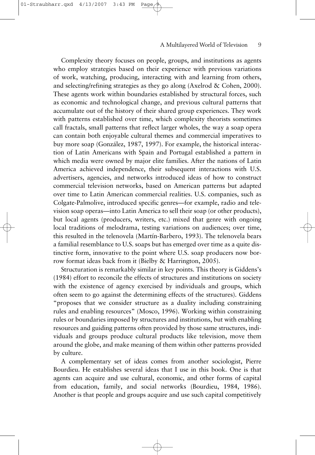Complexity theory focuses on people, groups, and institutions as agents who employ strategies based on their experience with previous variations of work, watching, producing, interacting with and learning from others, and selecting/refining strategies as they go along (Axelrod & Cohen, 2000). These agents work within boundaries established by structural forces, such as economic and technological change, and previous cultural patterns that accumulate out of the history of their shared group experiences. They work with patterns established over time, which complexity theorists sometimes call fractals, small patterns that reflect larger wholes, the way a soap opera can contain both enjoyable cultural themes and commercial imperatives to buy more soap (González, 1987, 1997). For example, the historical interaction of Latin Americans with Spain and Portugal established a pattern in which media were owned by major elite families. After the nations of Latin America achieved independence, their subsequent interactions with U.S. advertisers, agencies, and networks introduced ideas of how to construct commercial television networks, based on American patterns but adapted over time to Latin American commercial realities. U.S. companies, such as Colgate-Palmolive, introduced specific genres—for example, radio and television soap operas—into Latin America to sell their soap (or other products), but local agents (producers, writers, etc.) mixed that genre with ongoing local traditions of melodrama, testing variations on audiences; over time, this resulted in the telenovela (Martín-Barbero, 1993). The telenovela bears a familial resemblance to U.S. soaps but has emerged over time as a quite distinctive form, innovative to the point where U.S. soap producers now borrow format ideas back from it (Bielby & Harrington, 2005).

01-Straubharr.qxd 4/13/2007 3:43 PM Page

Structuration is remarkably similar in key points. This theory is Giddens's (1984) effort to reconcile the effects of structures and institutions on society with the existence of agency exercised by individuals and groups, which often seem to go against the determining effects of the structures). Giddens "proposes that we consider structure as a duality including constraining rules and enabling resources" (Mosco, 1996). Working within constraining rules or boundaries imposed by structures and institutions, but with enabling resources and guiding patterns often provided by those same structures, individuals and groups produce cultural products like television, move them around the globe, and make meaning of them within other patterns provided by culture.

A complementary set of ideas comes from another sociologist, Pierre Bourdieu. He establishes several ideas that I use in this book. One is that agents can acquire and use cultural, economic, and other forms of capital from education, family, and social networks (Bourdieu, 1984, 1986). Another is that people and groups acquire and use such capital competitively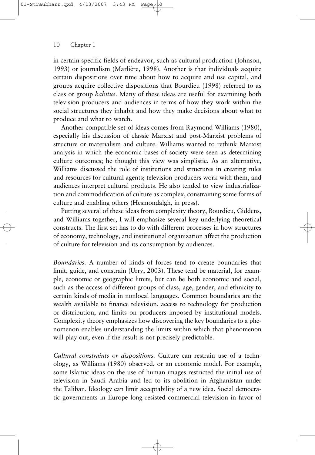in certain specific fields of endeavor, such as cultural production (Johnson, 1993) or journalism (Marlière, 1998). Another is that individuals acquire certain dispositions over time about how to acquire and use capital, and groups acquire collective dispositions that Bourdieu (1998) referred to as class or group *habitus*. Many of these ideas are useful for examining both television producers and audiences in terms of how they work within the social structures they inhabit and how they make decisions about what to produce and what to watch.

Another compatible set of ideas comes from Raymond Williams (1980), especially his discussion of classic Marxist and post-Marxist problems of structure or materialism and culture. Williams wanted to rethink Marxist analysis in which the economic bases of society were seen as determining culture outcomes; he thought this view was simplistic. As an alternative, Williams discussed the role of institutions and structures in creating rules and resources for cultural agents; television producers work with them, and audiences interpret cultural products. He also tended to view industrialization and commodification of culture as complex, constraining some forms of culture and enabling others (Hesmondalgh, in press).

Putting several of these ideas from complexity theory, Bourdieu, Giddens, and Williams together, I will emphasize several key underlying theoretical constructs. The first set has to do with different processes in how structures of economy, technology, and institutional organization affect the production of culture for television and its consumption by audiences.

*Boundaries.* A number of kinds of forces tend to create boundaries that limit, guide, and constrain (Urry, 2003). These tend be material, for example, economic or geographic limits, but can be both economic and social, such as the access of different groups of class, age, gender, and ethnicity to certain kinds of media in nonlocal languages. Common boundaries are the wealth available to finance television, access to technology for production or distribution, and limits on producers imposed by institutional models. Complexity theory emphasizes how discovering the key boundaries to a phenomenon enables understanding the limits within which that phenomenon will play out, even if the result is not precisely predictable.

*Cultural constraints or dispositions.* Culture can restrain use of a technology, as Williams (1980) observed, or an economic model. For example, some Islamic ideas on the use of human images restricted the initial use of television in Saudi Arabia and led to its abolition in Afghanistan under the Taliban. Ideology can limit acceptability of a new idea. Social democratic governments in Europe long resisted commercial television in favor of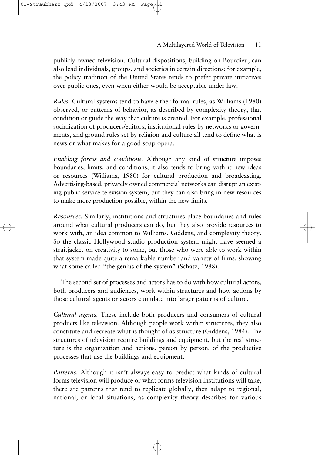publicly owned television. Cultural dispositions, building on Bourdieu, can also lead individuals, groups, and societies in certain directions; for example, the policy tradition of the United States tends to prefer private initiatives over public ones, even when either would be acceptable under law.

*Rules.* Cultural systems tend to have either formal rules, as Williams (1980) observed, or patterns of behavior, as described by complexity theory, that condition or guide the way that culture is created. For example, professional socialization of producers/editors, institutional rules by networks or governments, and ground rules set by religion and culture all tend to define what is news or what makes for a good soap opera.

*Enabling forces and conditions.* Although any kind of structure imposes boundaries, limits, and conditions, it also tends to bring with it new ideas or resources (Williams, 1980) for cultural production and broadcasting. Advertising-based, privately owned commercial networks can disrupt an existing public service television system, but they can also bring in new resources to make more production possible, within the new limits.

*Resources.* Similarly, institutions and structures place boundaries and rules around what cultural producers can do, but they also provide resources to work with, an idea common to Williams, Giddens, and complexity theory. So the classic Hollywood studio production system might have seemed a straitjacket on creativity to some, but those who were able to work within that system made quite a remarkable number and variety of films, showing what some called "the genius of the system" (Schatz, 1988).

The second set of processes and actors has to do with how cultural actors, both producers and audiences, work within structures and how actions by those cultural agents or actors cumulate into larger patterns of culture.

*Cultural agents.* These include both producers and consumers of cultural products like television. Although people work within structures, they also constitute and recreate what is thought of as structure (Giddens, 1984). The structures of television require buildings and equipment, but the real structure is the organization and actions, person by person, of the productive processes that use the buildings and equipment.

*Patterns.* Although it isn't always easy to predict what kinds of cultural forms television will produce or what forms television institutions will take, there are patterns that tend to replicate globally, then adapt to regional, national, or local situations, as complexity theory describes for various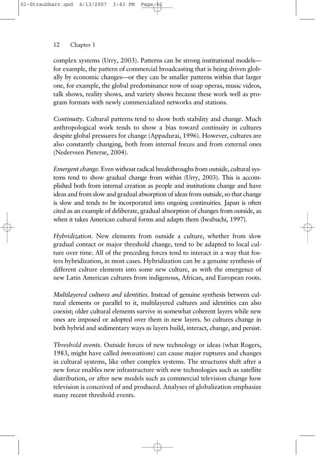complex systems (Urry, 2003). Patterns can be strong institutional models for example, the pattern of commercial broadcasting that is being driven globally by economic changes—or they can be smaller patterns within that larger one, for example, the global predominance now of soap operas, music videos, talk shows, reality shows, and variety shows because these work well as program formats with newly commercialized networks and stations.

*Continuity.* Cultural patterns tend to show both stability and change. Much anthropological work tends to show a bias toward continuity in cultures despite global pressures for change (Appadurai, 1996). However, cultures are also constantly changing, both from internal forces and from external ones (Nederveen Pieterse, 2004).

*Emergent change.* Even without radical breakthroughs from outside, cultural systems tend to show gradual change from within (Urry, 2003). This is accomplished both from internal creation as people and institutions change and have ideas and from slow and gradual absorption of ideas from outside, so that change is slow and tends to be incorporated into ongoing continuities. Japan is often cited as an example of deliberate, gradual absorption of changes from outside, as when it takes American cultural forms and adapts them (Iwabuchi, 1997).

*Hybridization.* New elements from outside a culture, whether from slow gradual contact or major threshold change, tend to be adapted to local culture over time. All of the preceding forces tend to interact in a way that fosters hybridization, in most cases. Hybridization can be a genuine synthesis of different culture elements into some new culture, as with the emergence of new Latin American cultures from indigenous, African, and European roots.

*Multilayered cultures and identities.* Instead of genuine synthesis between cultural elements or parallel to it, multilayered cultures and identities can also coexist; older cultural elements survive in somewhat coherent layers while new ones are imposed or adopted over them in new layers. So cultures change in both hybrid and sedimentary ways as layers build, interact, change, and persist.

*Threshold events.* Outside forces of new technology or ideas (what Rogers, 1983, might have called *innovations*) can cause major ruptures and changes in cultural systems, like other complex systems. The structures shift after a new force enables new infrastructure with new technologies such as satellite distribution, or after new models such as commercial television change how television is conceived of and produced. Analyses of globalization emphasize many recent threshold events.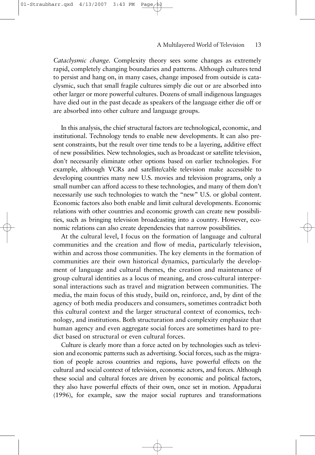*Cataclysmic change.* Complexity theory sees some changes as extremely rapid, completely changing boundaries and patterns. Although cultures tend to persist and hang on, in many cases, change imposed from outside is cataclysmic, such that small fragile cultures simply die out or are absorbed into other larger or more powerful cultures. Dozens of small indigenous languages have died out in the past decade as speakers of the language either die off or are absorbed into other culture and language groups.

In this analysis, the chief structural factors are technological, economic, and institutional. Technology tends to enable new developments. It can also present constraints, but the result over time tends to be a layering, additive effect of new possibilities. New technologies, such as broadcast or satellite television, don't necessarily eliminate other options based on earlier technologies. For example, although VCRs and satellite/cable television make accessible to developing countries many new U.S. movies and television programs, only a small number can afford access to these technologies, and many of them don't necessarily use such technologies to watch the "new" U.S. or global content. Economic factors also both enable and limit cultural developments. Economic relations with other countries and economic growth can create new possibilities, such as bringing television broadcasting into a country. However, economic relations can also create dependencies that narrow possibilities.

At the cultural level, I focus on the formation of language and cultural communities and the creation and flow of media, particularly television, within and across those communities. The key elements in the formation of communities are their own historical dynamics, particularly the development of language and cultural themes, the creation and maintenance of group cultural identities as a locus of meaning, and cross-cultural interpersonal interactions such as travel and migration between communities. The media, the main focus of this study, build on, reinforce, and, by dint of the agency of both media producers and consumers, sometimes contradict both this cultural context and the larger structural context of economics, technology, and institutions. Both structuration and complexity emphasize that human agency and even aggregate social forces are sometimes hard to predict based on structural or even cultural forces.

Culture is clearly more than a force acted on by technologies such as television and economic patterns such as advertising. Social forces, such as the migration of people across countries and regions, have powerful effects on the cultural and social context of television, economic actors, and forces. Although these social and cultural forces are driven by economic and political factors, they also have powerful effects of their own, once set in motion. Appadurai (1996), for example, saw the major social ruptures and transformations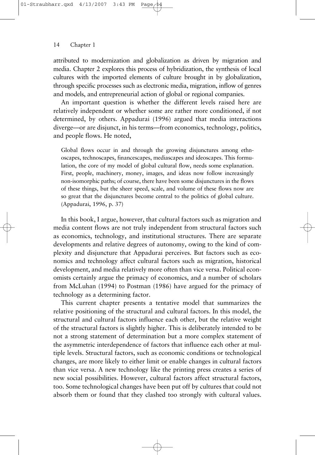attributed to modernization and globalization as driven by migration and media. Chapter 2 explores this process of hybridization, the synthesis of local cultures with the imported elements of culture brought in by globalization, through specific processes such as electronic media, migration, inflow of genres and models, and entrepreneurial action of global or regional companies.

An important question is whether the different levels raised here are relatively independent or whether some are rather more conditioned, if not determined, by others. Appadurai (1996) argued that media interactions diverge—or are disjunct, in his terms—from economics, technology, politics, and people flows. He noted,

Global flows occur in and through the growing disjunctures among ethnoscapes, technoscapes, financescapes, mediascapes and ideoscapes. This formulation, the core of my model of global cultural flow, needs some explanation. First, people, machinery, money, images, and ideas now follow increasingly non-isomorphic paths; of course, there have been some disjunctures in the flows of these things, but the sheer speed, scale, and volume of these flows now are so great that the disjunctures become central to the politics of global culture. (Appadurai, 1996, p. 37)

In this book, I argue, however, that cultural factors such as migration and media content flows are not truly independent from structural factors such as economics, technology, and institutional structures. There are separate developments and relative degrees of autonomy, owing to the kind of complexity and disjuncture that Appadurai perceives. But factors such as economics and technology affect cultural factors such as migration, historical development, and media relatively more often than vice versa. Political economists certainly argue the primacy of economics, and a number of scholars from McLuhan (1994) to Postman (1986) have argued for the primacy of technology as a determining factor.

This current chapter presents a tentative model that summarizes the relative positioning of the structural and cultural factors. In this model, the structural and cultural factors influence each other, but the relative weight of the structural factors is slightly higher. This is deliberately intended to be not a strong statement of determination but a more complex statement of the asymmetric interdependence of factors that influence each other at multiple levels. Structural factors, such as economic conditions or technological changes, are more likely to either limit or enable changes in cultural factors than vice versa. A new technology like the printing press creates a series of new social possibilities. However, cultural factors affect structural factors, too. Some technological changes have been put off by cultures that could not absorb them or found that they clashed too strongly with cultural values.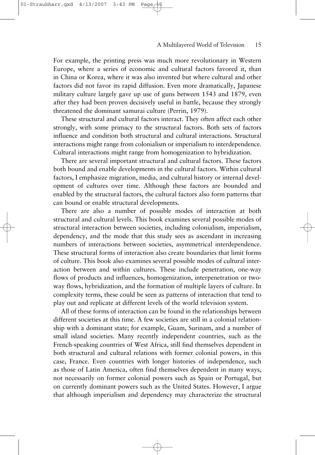For example, the printing press was much more revolutionary in Western Europe, where a series of economic and cultural factors favored it, than in China or Korea, where it was also invented but where cultural and other factors did not favor its rapid diffusion. Even more dramatically, Japanese military culture largely gave up use of guns between 1543 and 1879, even after they had been proven decisively useful in battle, because they strongly threatened the dominant samurai culture (Perrin, 1979).

These structural and cultural factors interact. They often affect each other strongly, with some primacy to the structural factors. Both sets of factors influence and condition both structural and cultural interactions. Structural interactions might range from colonialism or imperialism to interdependence. Cultural interactions might range from homogenization to hybridization.

There are several important structural and cultural factors. These factors both bound and enable developments in the cultural factors. Within cultural factors, I emphasize migration, media, and cultural history or internal development of cultures over time. Although these factors are bounded and enabled by the structural factors, the cultural factors also form patterns that can bound or enable structural developments.

There are also a number of possible modes of interaction at both structural and cultural levels. This book examines several possible modes of structural interaction between societies, including colonialism, imperialism, dependency, and the mode that this study sees as ascendant in increasing numbers of interactions between societies, asymmetrical interdependence. These structural forms of interaction also create boundaries that limit forms of culture. This book also examines several possible modes of cultural interaction between and within cultures. These include penetration, one-way flows of products and influences, homogenization, interpenetration or twoway flows, hybridization, and the formation of multiple layers of culture. In complexity terms, these could be seen as patterns of interaction that tend to play out and replicate at different levels of the world television system.

All of these forms of interaction can be found in the relationships between different societies at this time. A few societies are still in a colonial relationship with a dominant state; for example, Guam, Surinam, and a number of small island societies. Many recently independent countries, such as the French-speaking countries of West Africa, still find themselves dependent in both structural and cultural relations with former colonial powers, in this case, France. Even countries with longer histories of independence, such as those of Latin America, often find themselves dependent in many ways, not necessarily on former colonial powers such as Spain or Portugal, but on currently dominant powers such as the United States. However, I argue that although imperialism and dependency may characterize the structural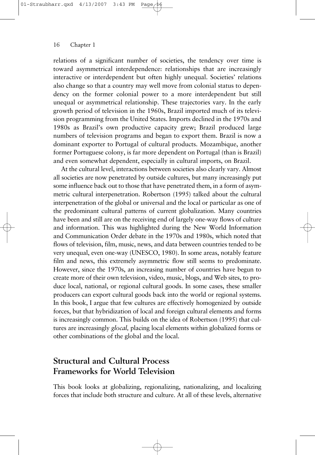relations of a significant number of societies, the tendency over time is toward asymmetrical interdependence: relationships that are increasingly interactive or interdependent but often highly unequal. Societies' relations also change so that a country may well move from colonial status to dependency on the former colonial power to a more interdependent but still unequal or asymmetrical relationship. These trajectories vary. In the early growth period of television in the 1960s, Brazil imported much of its television programming from the United States. Imports declined in the 1970s and 1980s as Brazil's own productive capacity grew; Brazil produced large numbers of television programs and began to export them. Brazil is now a dominant exporter to Portugal of cultural products. Mozambique, another former Portuguese colony, is far more dependent on Portugal (than is Brazil) and even somewhat dependent, especially in cultural imports, on Brazil.

At the cultural level, interactions between societies also clearly vary. Almost all societies are now penetrated by outside cultures, but many increasingly put some influence back out to those that have penetrated them, in a form of asymmetric cultural interpenetration. Robertson (1995) talked about the cultural interpenetration of the global or universal and the local or particular as one of the predominant cultural patterns of current globalization. Many countries have been and still are on the receiving end of largely one-way flows of culture and information. This was highlighted during the New World Information and Communication Order debate in the 1970s and 1980s, which noted that flows of television, film, music, news, and data between countries tended to be very unequal, even one-way (UNESCO, 1980). In some areas, notably feature film and news, this extremely asymmetric flow still seems to predominate. However, since the 1970s, an increasing number of countries have begun to create more of their own television, video, music, blogs, and Web sites, to produce local, national, or regional cultural goods. In some cases, these smaller producers can export cultural goods back into the world or regional systems. In this book, I argue that few cultures are effectively homogenized by outside forces, but that hybridization of local and foreign cultural elements and forms is increasingly common. This builds on the idea of Robertson (1995) that cultures are increasingly *glocal,* placing local elements within globalized forms or other combinations of the global and the local.

## **Structural and Cultural Process Frameworks for World Television**

This book looks at globalizing, regionalizing, nationalizing, and localizing forces that include both structure and culture. At all of these levels, alternative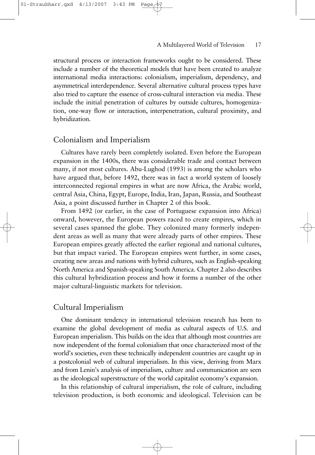structural process or interaction frameworks ought to be considered. These include a number of the theoretical models that have been created to analyze international media interactions: colonialism, imperialism, dependency, and asymmetrical interdependence. Several alternative cultural process types have also tried to capture the essence of cross-cultural interaction via media. These include the initial penetration of cultures by outside cultures, homogenization, one-way flow or interaction, interpenetration, cultural proximity, and hybridization.

## Colonialism and Imperialism

Cultures have rarely been completely isolated. Even before the European expansion in the 1400s, there was considerable trade and contact between many, if not most cultures. Abu-Lughod (1993) is among the scholars who have argued that, before 1492, there was in fact a world system of loosely interconnected regional empires in what are now Africa, the Arabic world, central Asia, China, Egypt, Europe, India, Iran, Japan, Russia, and Southeast Asia, a point discussed further in Chapter 2 of this book.

From 1492 (or earlier, in the case of Portuguese expansion into Africa) onward, however, the European powers raced to create empires, which in several cases spanned the globe. They colonized many formerly independent areas as well as many that were already parts of other empires. These European empires greatly affected the earlier regional and national cultures, but that impact varied. The European empires went further, in some cases, creating new areas and nations with hybrid cultures, such as English-speaking North America and Spanish-speaking South America. Chapter 2 also describes this cultural hybridization process and how it forms a number of the other major cultural-linguistic markets for television.

#### Cultural Imperialism

One dominant tendency in international television research has been to examine the global development of media as cultural aspects of U.S. and European imperialism. This builds on the idea that although most countries are now independent of the formal colonialism that once characterized most of the world's societies, even these technically independent countries are caught up in a postcolonial web of cultural imperialism. In this view, deriving from Marx and from Lenin's analysis of imperialism, culture and communication are seen as the ideological superstructure of the world capitalist economy's expansion.

In this relationship of cultural imperialism, the role of culture, including television production, is both economic and ideological. Television can be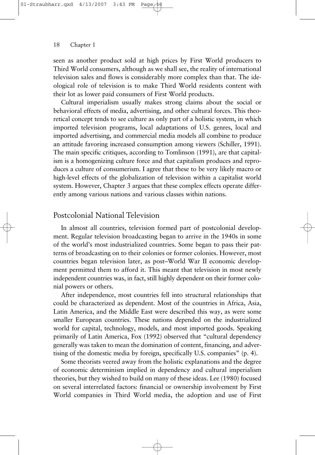seen as another product sold at high prices by First World producers to Third World consumers, although as we shall see, the reality of international television sales and flows is considerably more complex than that. The ideological role of television is to make Third World residents content with their lot as lower paid consumers of First World products.

Cultural imperialism usually makes strong claims about the social or behavioral effects of media, advertising, and other cultural forces. This theoretical concept tends to see culture as only part of a holistic system, in which imported television programs, local adaptations of U.S. genres, local and imported advertising, and commercial media models all combine to produce an attitude favoring increased consumption among viewers (Schiller, 1991). The main specific critiques, according to Tomlinson (1991), are that capitalism is a homogenizing culture force and that capitalism produces and reproduces a culture of consumerism. I agree that these to be very likely macro or high-level effects of the globalization of television within a capitalist world system. However, Chapter 3 argues that these complex effects operate differently among various nations and various classes within nations.

## Postcolonial National Television

In almost all countries, television formed part of postcolonial development. Regular television broadcasting began to arrive in the 1940s in some of the world's most industrialized countries. Some began to pass their patterns of broadcasting on to their colonies or former colonies. However, most countries began television later, as post–World War II economic development permitted them to afford it. This meant that television in most newly independent countries was, in fact, still highly dependent on their former colonial powers or others.

After independence, most countries fell into structural relationships that could be characterized as dependent. Most of the countries in Africa, Asia, Latin America, and the Middle East were described this way, as were some smaller European countries. These nations depended on the industrialized world for capital, technology, models, and most imported goods. Speaking primarily of Latin America, Fox (1992) observed that "cultural dependency generally was taken to mean the domination of content, financing, and advertising of the domestic media by foreign, specifically U.S. companies" (p. 4).

Some theorists veered away from the holistic explanations and the degree of economic determinism implied in dependency and cultural imperialism theories, but they wished to build on many of these ideas. Lee (1980) focused on several interrelated factors: financial or ownership involvement by First World companies in Third World media, the adoption and use of First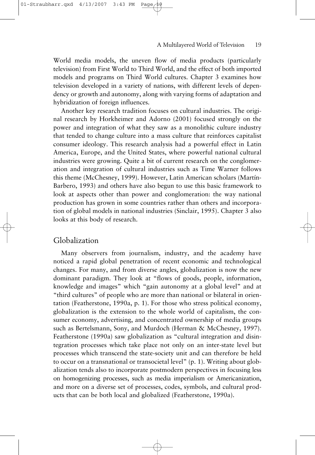World media models, the uneven flow of media products (particularly television) from First World to Third World, and the effect of both imported models and programs on Third World cultures. Chapter 3 examines how television developed in a variety of nations, with different levels of dependency or growth and autonomy, along with varying forms of adaptation and hybridization of foreign influences.

Another key research tradition focuses on cultural industries. The original research by Horkheimer and Adorno (2001) focused strongly on the power and integration of what they saw as a monolithic culture industry that tended to change culture into a mass culture that reinforces capitalist consumer ideology. This research analysis had a powerful effect in Latin America, Europe, and the United States, where powerful national cultural industries were growing. Quite a bit of current research on the conglomeration and integration of cultural industries such as Time Warner follows this theme (McChesney, 1999). However, Latin American scholars (Martín-Barbero, 1993) and others have also begun to use this basic framework to look at aspects other than power and conglomeration: the way national production has grown in some countries rather than others and incorporation of global models in national industries (Sinclair, 1995). Chapter 3 also looks at this body of research.

## Globalization

01-Straubharr.qxd 4/13/2007 3:43 PM Page 19

Many observers from journalism, industry, and the academy have noticed a rapid global penetration of recent economic and technological changes. For many, and from diverse angles, globalization is now the new dominant paradigm. They look at "flows of goods, people, information, knowledge and images" which "gain autonomy at a global level" and at "third cultures" of people who are more than national or bilateral in orientation (Featherstone, 1990a, p. 1). For those who stress political economy, globalization is the extension to the whole world of capitalism, the consumer economy, advertising, and concentrated ownership of media groups such as Bertelsmann, Sony, and Murdoch (Herman & McChesney, 1997). Featherstone (1990a) saw globalization as "cultural integration and disintegration processes which take place not only on an inter-state level but processes which transcend the state-society unit and can therefore be held to occur on a transnational or transocietal level" (p. 1). Writing about globalization tends also to incorporate postmodern perspectives in focusing less on homogenizing processes, such as media imperialism or Americanization, and more on a diverse set of processes, codes, symbols, and cultural products that can be both local and globalized (Featherstone, 1990a).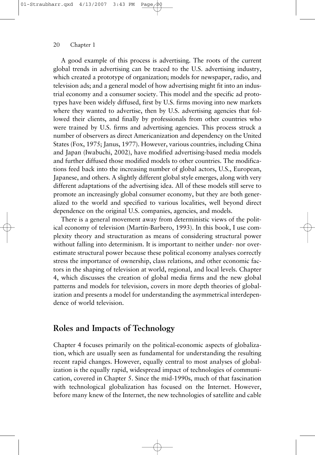A good example of this process is advertising. The roots of the current global trends in advertising can be traced to the U.S. advertising industry, which created a prototype of organization; models for newspaper, radio, and television ads; and a general model of how advertising might fit into an industrial economy and a consumer society. This model and the specific ad prototypes have been widely diffused, first by U.S. firms moving into new markets where they wanted to advertise, then by U.S. advertising agencies that followed their clients, and finally by professionals from other countries who were trained by U.S. firms and advertising agencies. This process struck a number of observers as direct Americanization and dependency on the United States (Fox, 1975; Janus, 1977). However, various countries, including China and Japan (Iwabuchi, 2002), have modified advertising-based media models and further diffused those modified models to other countries. The modifications feed back into the increasing number of global actors, U.S., European, Japanese, and others. A slightly different global style emerges, along with very different adaptations of the advertising idea. All of these models still serve to promote an increasingly global consumer economy, but they are both generalized to the world and specified to various localities, well beyond direct dependence on the original U.S. companies, agencies, and models.

There is a general movement away from deterministic views of the political economy of television (Martín-Barbero, 1993). In this book, I use complexity theory and structuration as means of considering structural power without falling into determinism. It is important to neither under- nor overestimate structural power because these political economy analyses correctly stress the importance of ownership, class relations, and other economic factors in the shaping of television at world, regional, and local levels. Chapter 4, which discusses the creation of global media firms and the new global patterns and models for television, covers in more depth theories of globalization and presents a model for understanding the asymmetrical interdependence of world television.

## **Roles and Impacts of Technology**

Chapter 4 focuses primarily on the political-economic aspects of globalization, which are usually seen as fundamental for understanding the resulting recent rapid changes. However, equally central to most analyses of globalization is the equally rapid, widespread impact of technologies of communication, covered in Chapter 5. Since the mid-1990s, much of that fascination with technological globalization has focused on the Internet. However, before many knew of the Internet, the new technologies of satellite and cable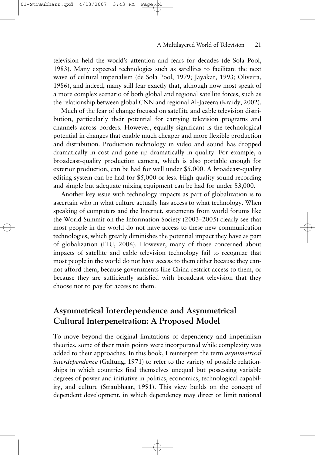television held the world's attention and fears for decades (de Sola Pool, 1983). Many expected technologies such as satellites to facilitate the next wave of cultural imperialism (de Sola Pool, 1979; Jayakar, 1993; Oliveira, 1986), and indeed, many still fear exactly that, although now most speak of a more complex scenario of both global and regional satellite forces, such as the relationship between global CNN and regional Al-Jazeera (Kraidy, 2002).

Much of the fear of change focused on satellite and cable television distribution, particularly their potential for carrying television programs and channels across borders. However, equally significant is the technological potential in changes that enable much cheaper and more flexible production and distribution. Production technology in video and sound has dropped dramatically in cost and gone up dramatically in quality. For example, a broadcast-quality production camera, which is also portable enough for exterior production, can be had for well under \$5,000. A broadcast-quality editing system can be had for \$5,000 or less. High-quality sound recording and simple but adequate mixing equipment can be had for under \$3,000.

Another key issue with technology impacts as part of globalization is to ascertain who in what culture actually has access to what technology. When speaking of computers and the Internet, statements from world forums like the World Summit on the Information Society (2003–2005) clearly see that most people in the world do not have access to these new communication technologies, which greatly diminishes the potential impact they have as part of globalization (ITU, 2006). However, many of those concerned about impacts of satellite and cable television technology fail to recognize that most people in the world do not have access to them either because they cannot afford them, because governments like China restrict access to them, or because they are sufficiently satisfied with broadcast television that they choose not to pay for access to them.

## **Asymmetrical Interdependence and Asymmetrical Cultural Interpenetration: A Proposed Model**

To move beyond the original limitations of dependency and imperialism theories, some of their main points were incorporated while complexity was added to their approaches. In this book, I reinterpret the term *asymmetrical interdependence* (Galtung, 1971) to refer to the variety of possible relationships in which countries find themselves unequal but possessing variable degrees of power and initiative in politics, economics, technological capability, and culture (Straubhaar, 1991). This view builds on the concept of dependent development, in which dependency may direct or limit national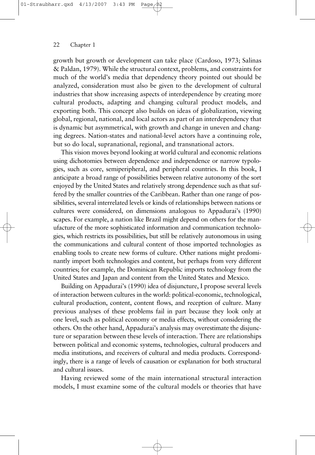growth but growth or development can take place (Cardoso, 1973; Salinas & Paldan, 1979). While the structural context, problems, and constraints for much of the world's media that dependency theory pointed out should be analyzed, consideration must also be given to the development of cultural industries that show increasing aspects of interdependence by creating more cultural products, adapting and changing cultural product models, and exporting both. This concept also builds on ideas of globalization, viewing global, regional, national, and local actors as part of an interdependency that is dynamic but asymmetrical, with growth and change in uneven and changing degrees. Nation-states and national-level actors have a continuing role, but so do local, supranational, regional, and transnational actors.

This vision moves beyond looking at world cultural and economic relations using dichotomies between dependence and independence or narrow typologies, such as core, semiperipheral, and peripheral countries. In this book, I anticipate a broad range of possibilities between relative autonomy of the sort enjoyed by the United States and relatively strong dependence such as that suffered by the smaller countries of the Caribbean. Rather than one range of possibilities, several interrelated levels or kinds of relationships between nations or cultures were considered, on dimensions analogous to Appadurai's (1990) scapes. For example, a nation like Brazil might depend on others for the manufacture of the more sophisticated information and communication technologies, which restricts its possibilities, but still be relatively autonomous in using the communications and cultural content of those imported technologies as enabling tools to create new forms of culture. Other nations might predominantly import both technologies and content, but perhaps from very different countries; for example, the Dominican Republic imports technology from the United States and Japan and content from the United States and Mexico.

Building on Appadurai's (1990) idea of disjuncture, I propose several levels of interaction between cultures in the world: political-economic, technological, cultural production, content, content flows, and reception of culture. Many previous analyses of these problems fail in part because they look only at one level, such as political economy or media effects, without considering the others. On the other hand, Appadurai's analysis may overestimate the disjuncture or separation between these levels of interaction. There are relationships between political and economic systems, technologies, cultural producers and media institutions, and receivers of cultural and media products. Correspondingly, there is a range of levels of causation or explanation for both structural and cultural issues.

Having reviewed some of the main international structural interaction models, I must examine some of the cultural models or theories that have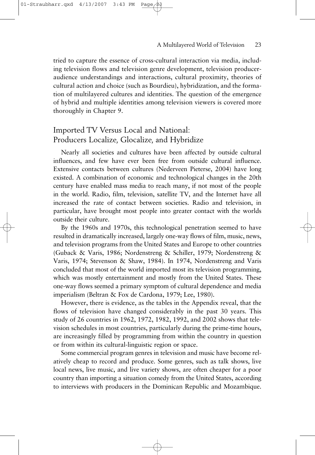tried to capture the essence of cross-cultural interaction via media, including television flows and television genre development, television produceraudience understandings and interactions, cultural proximity, theories of cultural action and choice (such as Bourdieu), hybridization, and the formation of multilayered cultures and identities. The question of the emergence of hybrid and multiple identities among television viewers is covered more thoroughly in Chapter 9.

## Imported TV Versus Local and National: Producers Localize, Glocalize, and Hybridize

Nearly all societies and cultures have been affected by outside cultural influences, and few have ever been free from outside cultural influence. Extensive contacts between cultures (Nederveen Pieterse, 2004) have long existed. A combination of economic and technological changes in the 20th century have enabled mass media to reach many, if not most of the people in the world. Radio, film, television, satellite TV, and the Internet have all increased the rate of contact between societies. Radio and television, in particular, have brought most people into greater contact with the worlds outside their culture.

By the 1960s and 1970s, this technological penetration seemed to have resulted in dramatically increased, largely one-way flows of film, music, news, and television programs from the United States and Europe to other countries (Guback & Varis, 1986; Nordenstreng & Schiller, 1979; Nordenstreng & Varis, 1974; Stevenson & Shaw, 1984). In 1974, Nordenstreng and Varis concluded that most of the world imported most its television programming, which was mostly entertainment and mostly from the United States. These one-way flows seemed a primary symptom of cultural dependence and media imperialism (Beltran & Fox de Cardona, 1979; Lee, 1980).

However, there is evidence, as the tables in the Appendix reveal, that the flows of television have changed considerably in the past 30 years. This study of 26 countries in 1962, 1972, 1982, 1992, and 2002 shows that television schedules in most countries, particularly during the prime-time hours, are increasingly filled by programming from within the country in question or from within its cultural-linguistic region or space.

Some commercial program genres in television and music have become relatively cheap to record and produce. Some genres, such as talk shows, live local news, live music, and live variety shows, are often cheaper for a poor country than importing a situation comedy from the United States, according to interviews with producers in the Dominican Republic and Mozambique.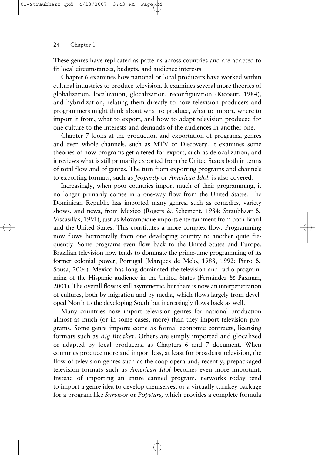These genres have replicated as patterns across countries and are adapted to fit local circumstances, budgets, and audience interests

Chapter 6 examines how national or local producers have worked within cultural industries to produce television. It examines several more theories of globalization, localization, glocalization, reconfiguration (Ricoeur, 1984), and hybridization, relating them directly to how television producers and programmers might think about what to produce, what to import, where to import it from, what to export, and how to adapt television produced for one culture to the interests and demands of the audiences in another one.

Chapter 7 looks at the production and exportation of programs, genres and even whole channels, such as MTV or Discovery. It examines some theories of how programs get altered for export, such as delocalization, and it reviews what is still primarily exported from the United States both in terms of total flow and of genres. The turn from exporting programs and channels to exporting formats, such as *Jeopardy* or *American Idol,* is also covered*.*

Increasingly, when poor countries import much of their programming, it no longer primarily comes in a one-way flow from the United States. The Dominican Republic has imported many genres, such as comedies, variety shows, and news, from Mexico (Rogers & Schement, 1984; Straubhaar & Viscasillas, 1991), just as Mozambique imports entertainment from both Brazil and the United States. This constitutes a more complex flow. Programming now flows horizontally from one developing country to another quite frequently. Some programs even flow back to the United States and Europe. Brazilian television now tends to dominate the prime-time programming of its former colonial power, Portugal (Marques de Melo, 1988, 1992; Pinto & Sousa, 2004). Mexico has long dominated the television and radio programming of the Hispanic audience in the United States (Fernández & Paxman, 2001). The overall flow is still asymmetric, but there is now an interpenetration of cultures, both by migration and by media, which flows largely from developed North to the developing South but increasingly flows back as well.

Many countries now import television genres for national production almost as much (or in some cases, more) than they import television programs. Some genre imports come as formal economic contracts, licensing formats such as *Big Brother.* Others are simply imported and glocalized or adapted by local producers, as Chapters 6 and 7 document. When countries produce more and import less, at least for broadcast television, the flow of television genres such as the soap opera and, recently, prepackaged television formats such as *American Idol* becomes even more important. Instead of importing an entire canned program, networks today tend to import a genre idea to develop themselves, or a virtually turnkey package for a program like *Survivor* or *Popstars,* which provides a complete formula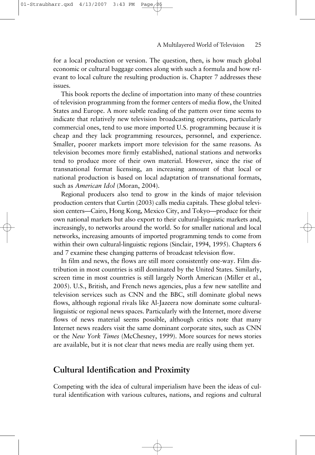for a local production or version. The question, then, is how much global economic or cultural baggage comes along with such a formula and how relevant to local culture the resulting production is. Chapter 7 addresses these issues.

01-Straubharr.gxd

This book reports the decline of importation into many of these countries of television programming from the former centers of media flow, the United States and Europe. A more subtle reading of the pattern over time seems to indicate that relatively new television broadcasting operations, particularly commercial ones, tend to use more imported U.S. programming because it is cheap and they lack programming resources, personnel, and experience. Smaller, poorer markets import more television for the same reasons. As television becomes more firmly established, national stations and networks tend to produce more of their own material. However, since the rise of transnational format licensing, an increasing amount of that local or national production is based on local adaptation of transnational formats, such as *American Idol* (Moran, 2004).

Regional producers also tend to grow in the kinds of major television production centers that Curtin (2003) calls media capitals. These global television centers—Cairo, Hong Kong, Mexico City, and Tokyo—produce for their own national markets but also export to their cultural-linguistic markets and, increasingly, to networks around the world. So for smaller national and local networks, increasing amounts of imported programming tends to come from within their own cultural-linguistic regions (Sinclair, 1994, 1995). Chapters 6 and 7 examine these changing patterns of broadcast television flow.

In film and news, the flows are still more consistently one-way. Film distribution in most countries is still dominated by the United States. Similarly, screen time in most countries is still largely North American (Miller et al., 2005). U.S., British, and French news agencies, plus a few new satellite and television services such as CNN and the BBC, still dominate global news flows, although regional rivals like Al-Jazeera now dominate some culturallinguistic or regional news spaces. Particularly with the Internet, more diverse flows of news material seems possible, although critics note that many Internet news readers visit the same dominant corporate sites, such as CNN or the *New York Times* (McChesney, 1999). More sources for news stories are available, but it is not clear that news media are really using them yet.

## **Cultural Identification and Proximity**

Competing with the idea of cultural imperialism have been the ideas of cultural identification with various cultures, nations, and regions and cultural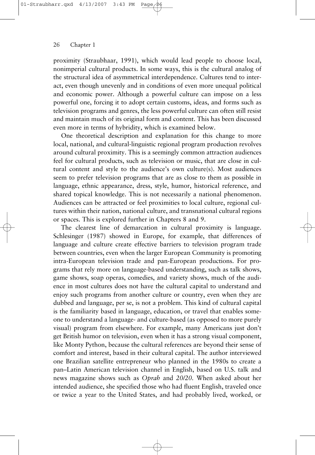proximity (Straubhaar, 1991), which would lead people to choose local, nonimperial cultural products. In some ways, this is the cultural analog of the structural idea of asymmetrical interdependence. Cultures tend to interact, even though unevenly and in conditions of even more unequal political and economic power. Although a powerful culture can impose on a less powerful one, forcing it to adopt certain customs, ideas, and forms such as television programs and genres, the less powerful culture can often still resist and maintain much of its original form and content. This has been discussed even more in terms of hybridity, which is examined below.

One theoretical description and explanation for this change to more local, national, and cultural-linguistic regional program production revolves around cultural proximity. This is a seemingly common attraction audiences feel for cultural products, such as television or music, that are close in cultural content and style to the audience's own culture(s). Most audiences seem to prefer television programs that are as close to them as possible in language, ethnic appearance, dress, style, humor, historical reference, and shared topical knowledge. This is not necessarily a national phenomenon. Audiences can be attracted or feel proximities to local culture, regional cultures within their nation, national culture, and transnational cultural regions or spaces. This is explored further in Chapters 8 and 9.

The clearest line of demarcation in cultural proximity is language. Schlesinger (1987) showed in Europe, for example, that differences of language and culture create effective barriers to television program trade between countries, even when the larger European Community is promoting intra-European television trade and pan-European productions. For programs that rely more on language-based understanding, such as talk shows, game shows, soap operas, comedies, and variety shows, much of the audience in most cultures does not have the cultural capital to understand and enjoy such programs from another culture or country, even when they are dubbed and language, per se, is not a problem. This kind of cultural capital is the familiarity based in language, education, or travel that enables someone to understand a language- and culture-based (as opposed to more purely visual) program from elsewhere. For example, many Americans just don't get British humor on television, even when it has a strong visual component, like Monty Python, because the cultural references are beyond their sense of comfort and interest, based in their cultural capital. The author interviewed one Brazilian satellite entrepreneur who planned in the 1980s to create a pan–Latin American television channel in English, based on U.S. talk and news magazine shows such as *Oprah* and *20/20.* When asked about her intended audience, she specified those who had fluent English, traveled once or twice a year to the United States, and had probably lived, worked, or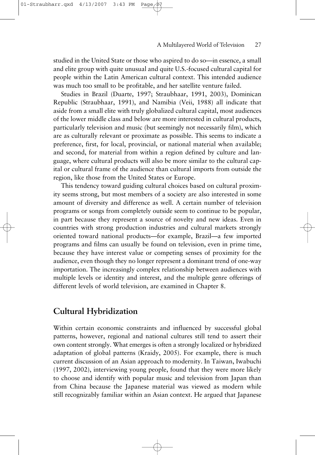studied in the United State or those who aspired to do so—in essence, a small and elite group with quite unusual and quite U.S.-focused cultural capital for people within the Latin American cultural context. This intended audience was much too small to be profitable, and her satellite venture failed.

Studies in Brazil (Duarte, 1997; Straubhaar, 1991, 2003), Dominican Republic (Straubhaar, 1991), and Namibia (Veii, 1988) all indicate that aside from a small elite with truly globalized cultural capital, most audiences of the lower middle class and below are more interested in cultural products, particularly television and music (but seemingly not necessarily film), which are as culturally relevant or proximate as possible. This seems to indicate a preference, first, for local, provincial, or national material when available; and second, for material from within a region defined by culture and language, where cultural products will also be more similar to the cultural capital or cultural frame of the audience than cultural imports from outside the region, like those from the United States or Europe.

This tendency toward guiding cultural choices based on cultural proximity seems strong, but most members of a society are also interested in some amount of diversity and difference as well. A certain number of television programs or songs from completely outside seem to continue to be popular, in part because they represent a source of novelty and new ideas. Even in countries with strong production industries and cultural markets strongly oriented toward national products—for example, Brazil—a few imported programs and films can usually be found on television, even in prime time, because they have interest value or competing senses of proximity for the audience, even though they no longer represent a dominant trend of one-way importation. The increasingly complex relationship between audiences with multiple levels or identity and interest, and the multiple genre offerings of different levels of world television, are examined in Chapter 8.

## **Cultural Hybridization**

Within certain economic constraints and influenced by successful global patterns, however, regional and national cultures still tend to assert their own content strongly. What emerges is often a strongly localized or hybridized adaptation of global patterns (Kraidy, 2005). For example, there is much current discussion of an Asian approach to modernity. In Taiwan, Iwabuchi (1997, 2002), interviewing young people, found that they were more likely to choose and identify with popular music and television from Japan than from China because the Japanese material was viewed as modern while still recognizably familiar within an Asian context. He argued that Japanese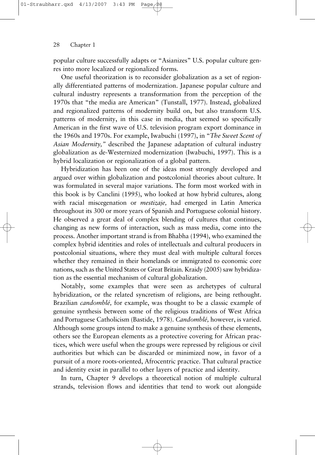popular culture successfully adapts or "Asianizes" U.S. popular culture genres into more localized or regionalized forms.

One useful theorization is to reconsider globalization as a set of regionally differentiated patterns of modernization. Japanese popular culture and cultural industry represents a transformation from the perception of the 1970s that "the media are American" (Tunstall, 1977). Instead, globalized and regionalized patterns of modernity build on, but also transform U.S. patterns of modernity, in this case in media, that seemed so specifically American in the first wave of U.S. television program export dominance in the 1960s and 1970s. For example, Iwabuchi (1997), in "*The Sweet Scent of Asian Modernity,"* described the Japanese adaptation of cultural industry globalization as de-Westernized modernization (Iwabuchi, 1997). This is a hybrid localization or regionalization of a global pattern.

Hybridization has been one of the ideas most strongly developed and argued over within globalization and postcolonial theories about culture. It was formulated in several major variations. The form most worked with in this book is by Canclini (1995), who looked at how hybrid cultures, along with racial miscegenation or *mestizaje,* had emerged in Latin America throughout its 300 or more years of Spanish and Portuguese colonial history. He observed a great deal of complex blending of cultures that continues, changing as new forms of interaction, such as mass media, come into the process. Another important strand is from Bhabha (1994), who examined the complex hybrid identities and roles of intellectuals and cultural producers in postcolonial situations, where they must deal with multiple cultural forces whether they remained in their homelands or immigrated to economic core nations, such as the United States or Great Britain. Kraidy (2005) saw hybridization as the essential mechanism of cultural globalization.

Notably, some examples that were seen as archetypes of cultural hybridization, or the related syncretism of religions, are being rethought. Brazilian *candomblé,* for example, was thought to be a classic example of genuine synthesis between some of the religious traditions of West Africa and Portuguese Catholicism (Bastide, 1978). *Candomblé,* however, is varied. Although some groups intend to make a genuine synthesis of these elements, others see the European elements as a protective covering for African practices, which were useful when the groups were repressed by religious or civil authorities but which can be discarded or minimized now, in favor of a pursuit of a more roots-oriented, Afrocentric practice. That cultural practice and identity exist in parallel to other layers of practice and identity.

In turn, Chapter 9 develops a theoretical notion of multiple cultural strands, television flows and identities that tend to work out alongside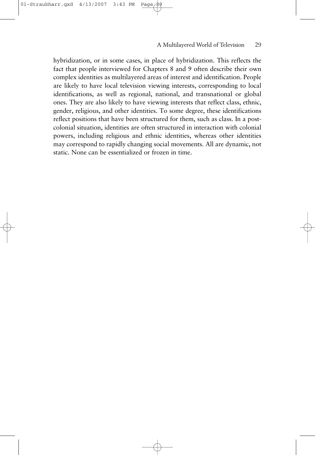### 01-Straubharr.qxd 4/13/2007 3:43 PM

#### A Multilayered World of Television——29

hybridization, or in some cases, in place of hybridization. This reflects the fact that people interviewed for Chapters 8 and 9 often describe their own complex identities as multilayered areas of interest and identification. People are likely to have local television viewing interests, corresponding to local identifications, as well as regional, national, and transnational or global ones. They are also likely to have viewing interests that reflect class, ethnic, gender, religious, and other identities. To some degree, these identifications reflect positions that have been structured for them, such as class. In a postcolonial situation, identities are often structured in interaction with colonial powers, including religious and ethnic identities, whereas other identities may correspond to rapidly changing social movements. All are dynamic, not static. None can be essentialized or frozen in time.